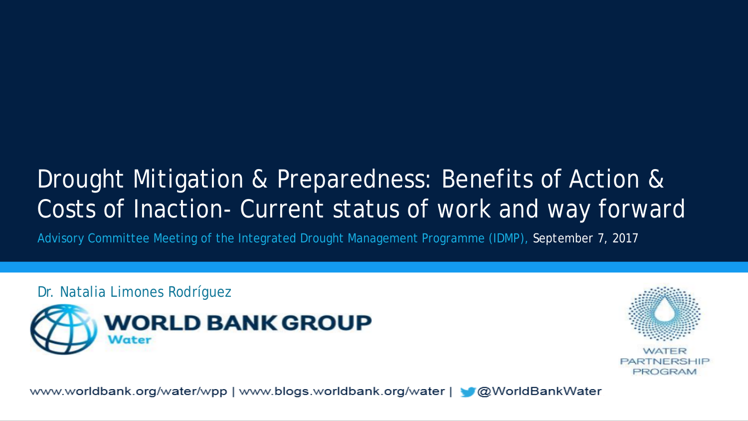## Drought Mitigation & Preparedness: Benefits of Action & Costs of Inaction- Current status of work and way forward

Advisory Committee Meeting of the Integrated Drought Management Programme (IDMP), *September 7, 2017*

Dr. Natalia Limones Rodríguez





www.worldbank.org/water/wpp | www.blogs.worldbank.org/water |  $\bigcirc$  @WorldBankWater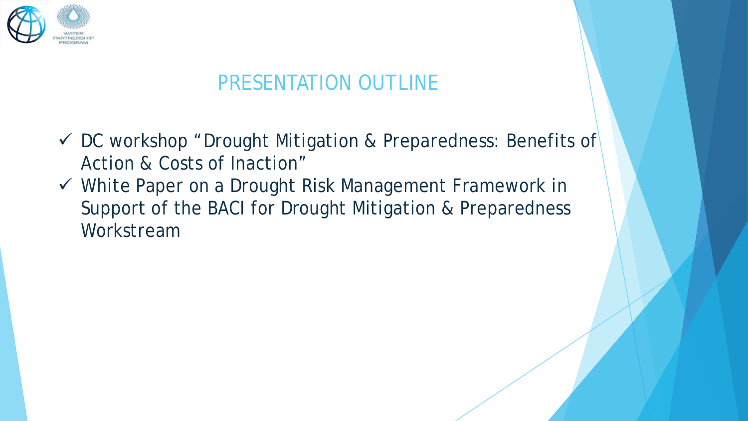

## PRESENTATION OUTLINE

- $\checkmark$  DC workshop "Drought Mitigation & Preparedness: Benefits of Action & Costs of Inaction"
- White Paper on a Drought Risk Management Framework in Support of the BACI for Drought Mitigation & Preparedness Workstream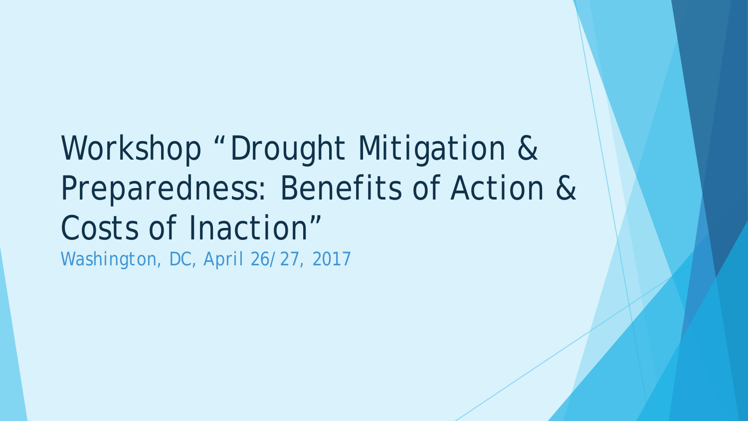Workshop "Drought Mitigation & Preparedness: Benefits of Action & Costs of Inaction" *Washington, DC, April 26/27, 2017*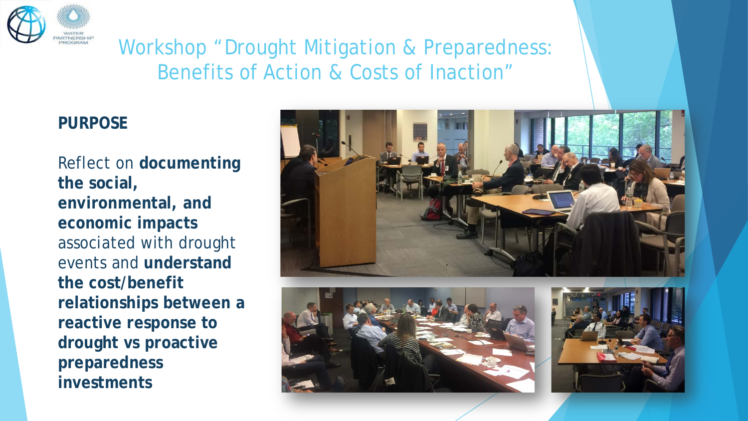

## Workshop "Drought Mitigation & Preparedness: Benefits of Action & Costs of Inaction"

#### **PURPOSE**

Reflect on **documenting the social, environmental, and economic impacts** associated with drought events and **understand the cost/benefit relationships between a reactive response to drought vs proactive preparedness investments**





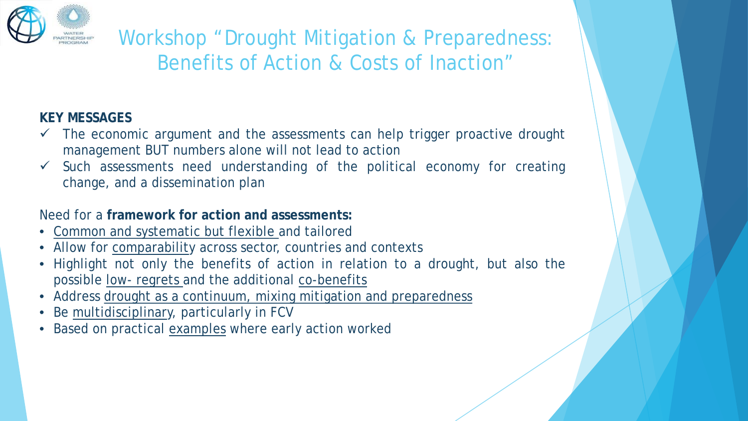

Workshop "Drought Mitigation & Preparedness: Benefits of Action & Costs of Inaction"

#### **KEY MESSAGES**

- The economic argument and the assessments can help trigger proactive drought management BUT numbers alone will not lead to action
- Such assessments need understanding of the political economy for creating change, and a dissemination plan

#### Need for a **framework for action and assessments:**

- Common and systematic but flexible and tailored
- Allow for comparability across sector, countries and contexts
- Highlight not only the benefits of action in relation to a drought, but also the possible low- regrets and the additional co-benefits
- Address drought as a continuum, mixing mitigation and preparedness
- Be multidisciplinary, particularly in FCV
- Based on practical examples where early action worked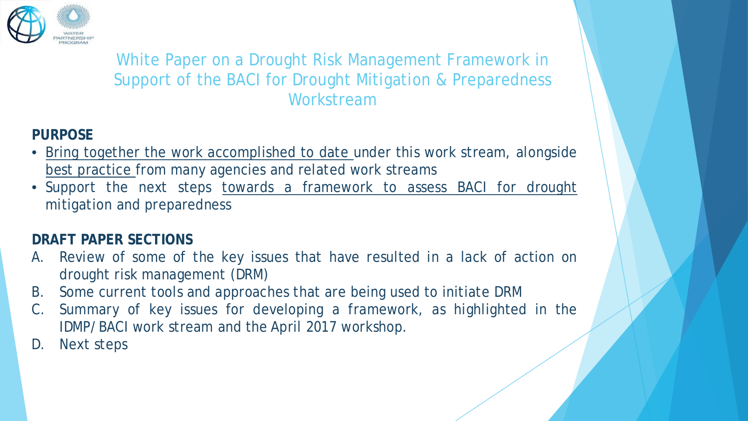

#### **PURPOSE**

- Bring together the work accomplished to date under this work stream, alongside best practice from many agencies and related work streams
- Support the next steps towards a framework to assess BACI for drought mitigation and preparedness

#### **DRAFT PAPER SECTIONS**

- A. Review of some of the key issues that have resulted in a lack of action on drought risk management (DRM)
- B. Some current tools and approaches that are being used to initiate DRM
- Summary of key issues for developing a framework, as highlighted in the IDMP/BACI work stream and the April 2017 workshop.
- D. Next steps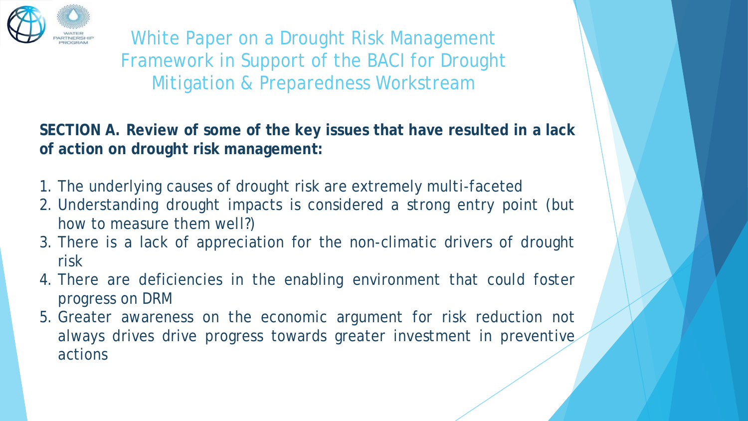

**SECTION A. Review of some of the key issues that have resulted in a lack of action on drought risk management:**

- 1. The underlying causes of drought risk are extremely multi-faceted
- 2. Understanding drought impacts is considered a strong entry point (but how to measure them well?)
- 3. There is a lack of appreciation for the non-climatic drivers of drought risk
- 4. There are deficiencies in the enabling environment that could foster progress on DRM
- 5. Greater awareness on the economic argument for risk reduction not always drives drive progress towards greater investment in preventive actions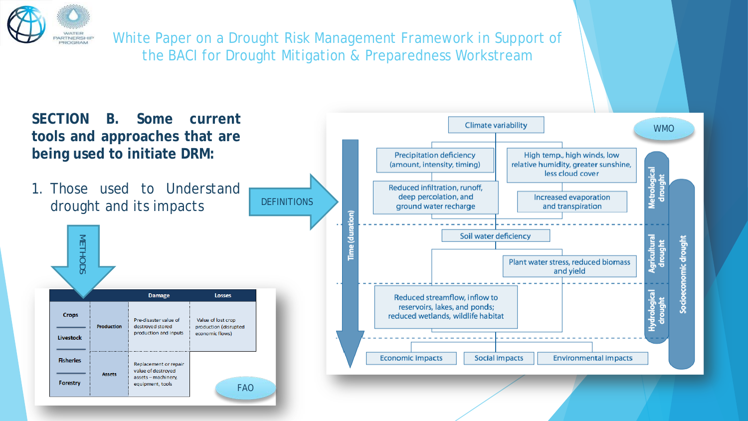

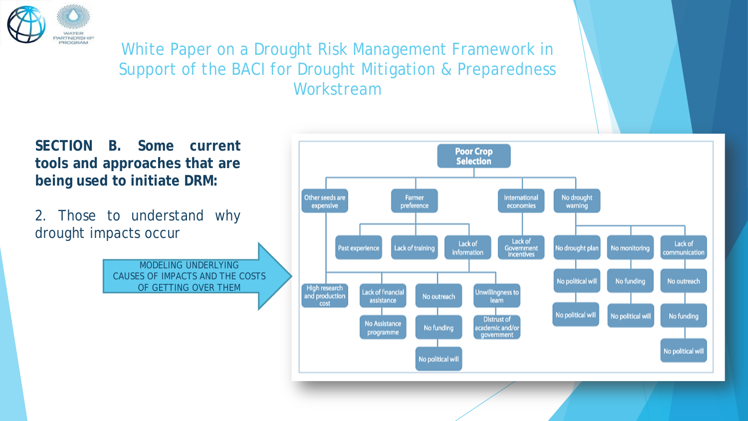

**SECTION B. Some current tools and approaches that are being used to initiate DRM:**

2. Those to understand why drought impacts occur

> MODELING UNDERLYING CAUSES OF IMPACTS AND THE COSTS OF GETTING OVER THEM

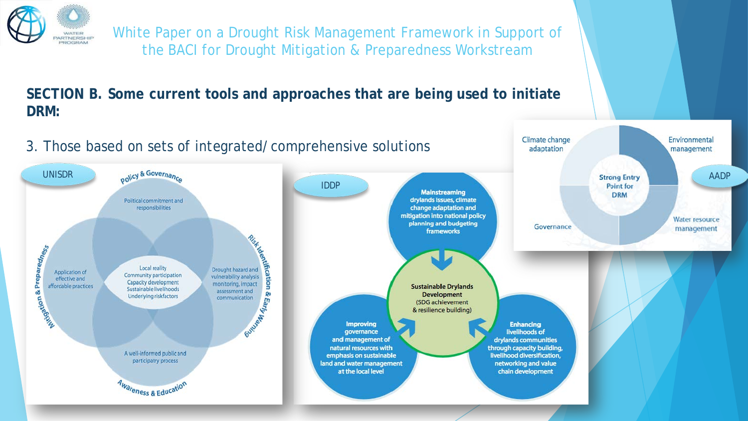

#### **SECTION B. Some current tools and approaches that are being used to initiate DRM:**

#### 3. Those based on sets of integrated/comprehensive solutions



Climate change

adaptation

Environmental

management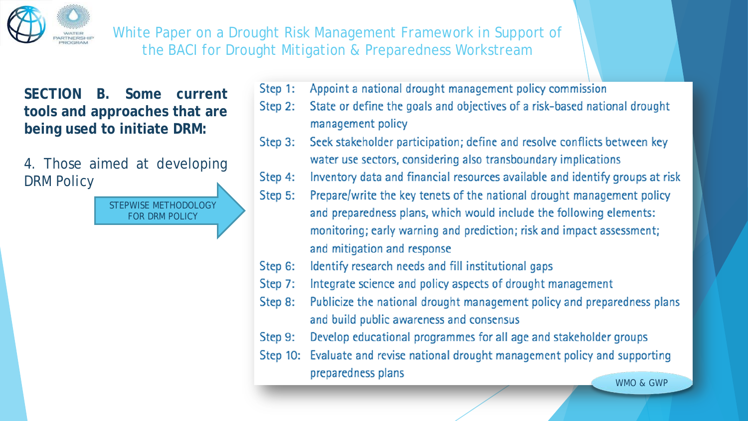

**SECTION B. Some current tools and approaches that are being used to initiate DRM:**

4. Those aimed at developing DRM Policy

> STEPWISE METHODOLOGY FOR DRM POLICY

- Appoint a national drought management policy commission Step 1:
- State or define the goals and objectives of a risk-based national drought Step 2: management policy
- Seek stakeholder participation; define and resolve conflicts between key Step 3: water use sectors, considering also transboundary implications
- Inventory data and financial resources available and identify groups at risk Step 4:
- Step 5: Prepare/write the key tenets of the national drought management policy and preparedness plans, which would include the following elements: monitoring; early warning and prediction; risk and impact assessment; and mitigation and response
- Identify research needs and fill institutional gaps Step 6:
- Integrate science and policy aspects of drought management Step 7:
- Publicize the national drought management policy and preparedness plans Step 8: and build public awareness and consensus
- Develop educational programmes for all age and stakeholder groups Step 9:
- Evaluate and revise national drought management policy and supporting Step  $10$ : preparedness plans

WMO & GWP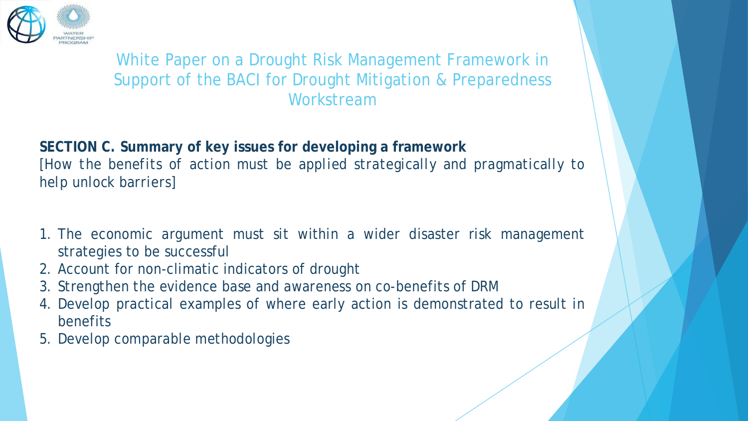

**SECTION C. Summary of key issues for developing a framework** *[How the benefits of action must be applied strategically and pragmatically to help unlock barriers]*

- 1. The economic argument must sit within a wider disaster risk management strategies to be successful
- 2. Account for non-climatic indicators of drought
- 3. Strengthen the evidence base and awareness on co-benefits of DRM
- 4. Develop practical examples of where early action is demonstrated to result in benefits
- 5. Develop comparable methodologies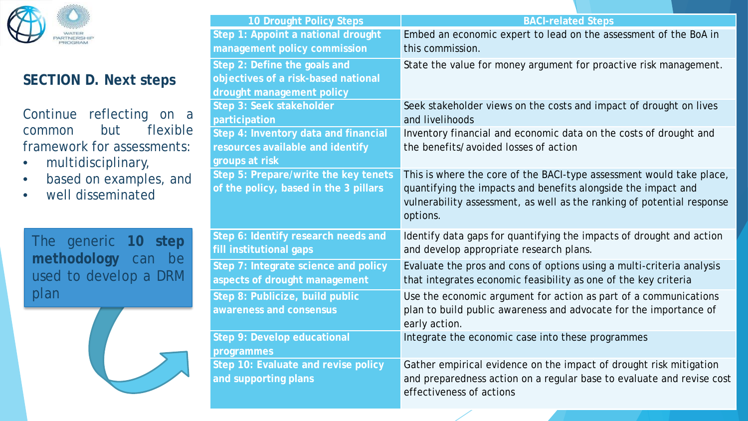

#### **SECTION D. Next steps**

Continue reflecting on a common but flexible framework for assessments:

- multidisciplinary,
- based on examples, and
- well disseminated

The generic **10 step methodology** can be used to develop a DRM plan